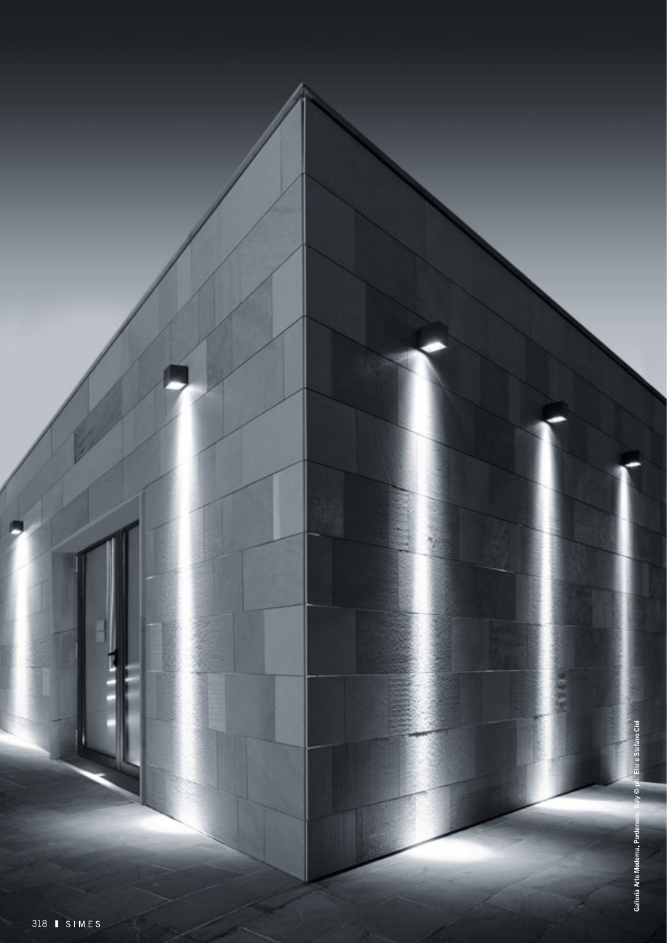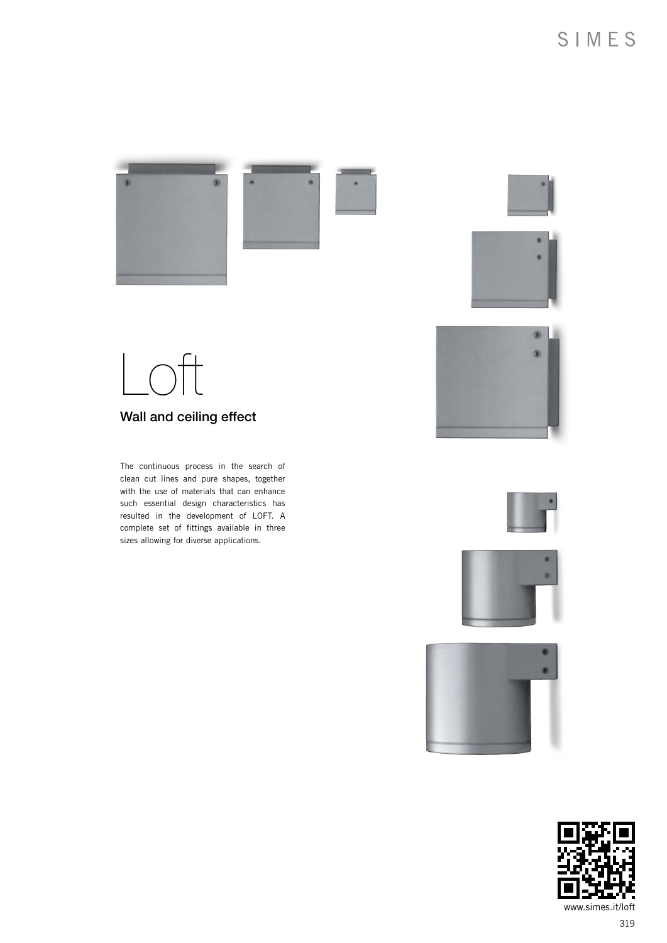









Wall and ceiling effect

The continuous process in the search of clean cut lines and pure shapes, together with the use of materials that can enhance such essential design characteristics has resulted in the development of LOFT. A complete set of fittings available in three sizes allowing for diverse applications.







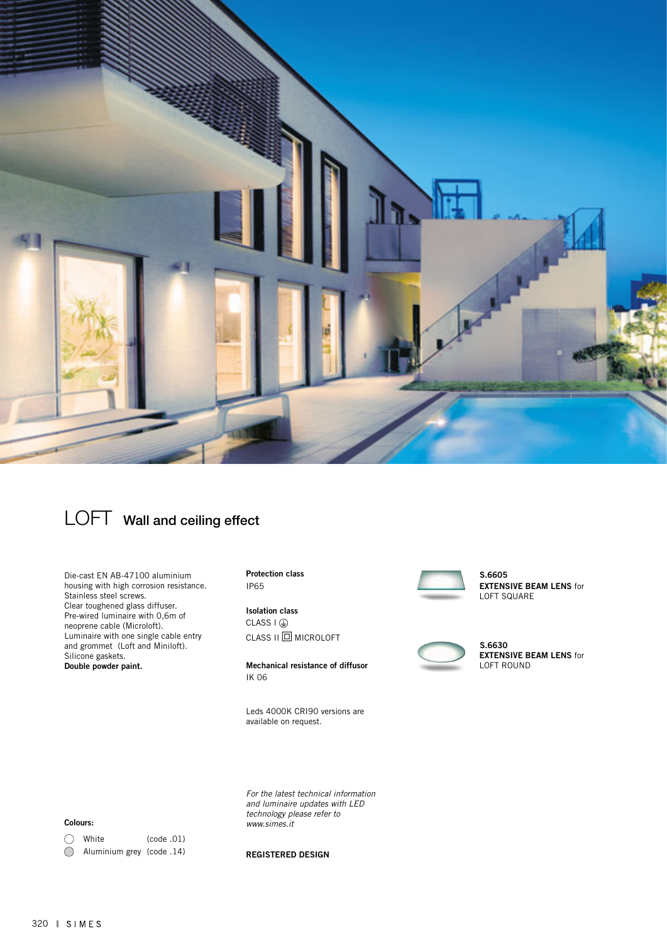



Die-cast EN AB-47100 aluminium housing with high corrosion resistance. Stainless steel screws. Clear toughened glass diffuser. Pre-wired luminaire with 0,6m of neoprene cable (Microloft). Luminaire with one single cable entry and grommet (Loft and Miniloft). Silicone gaskets. Double powder paint.

Protection class IP65

Isolation class  $CLASS I @$ CLASS II **q** MICROLOFT

Mechanical resistance of diffusor IK 06

Leds 4000K CRI90 versions are available on request.

 S.6605 EXTENSIVE BEAM LENS for LOFT SQUARE



 S.6630**EXTENSIVE BEAM LENS for** LOFT ROUND

#### Colours:

| $\bigcirc$ White          | (code.01) |
|---------------------------|-----------|
| Aluminium grey (code .14) |           |

*www.simes.it* 

*For the latest technical information and luminaire updates with LED technology please refer to* 

REGISTERED DESIGN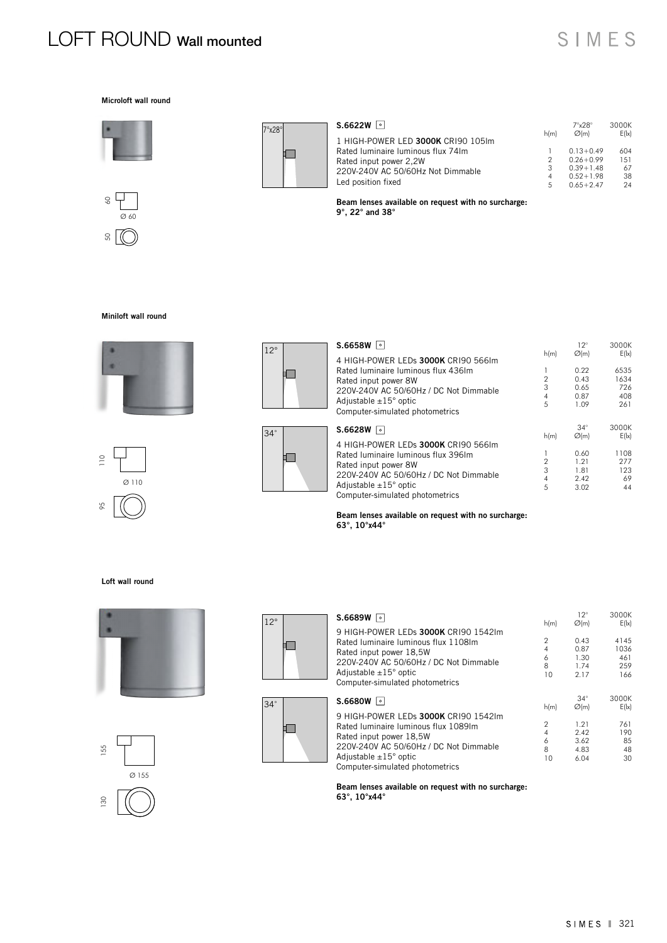# LOFT ROUND Wall mounted

# SIMES

#### Microloft wall round







| S.6622W<br>$\vert \circ \vert$     | h(m) | $7^{\circ}$ $\times$ 28 $^{\circ}$<br>$\varnothing$ (m) | 3000K<br>E( x ) |
|------------------------------------|------|---------------------------------------------------------|-----------------|
| 1 HIGH-POWER LED 3000K CRI90 105Im |      |                                                         |                 |
| Rated Iuminaire Iuminous flux 74Im |      | $0.13 + 0.49$                                           | 604             |
| Rated input power 2,2W             |      | $0.26 + 0.99$                                           | 151             |
| 220V-240V AC 50/60Hz Not Dimmable  | 3    | $0.39 + 1.48$                                           | 67              |
|                                    | 4    | $0.52 + 1.98$                                           | 38              |
| Led position fixed                 | 5    | $0.65 + 2.47$                                           | 24              |

Beam lenses available on request with no surcharge: 9°, 22° and 38°

### Miniloft wall round







| S.6658W<br>$\bullet$                                               |                | $12^{\circ}$<br>$\varnothing(m)$ | 3000K<br>E(1x) |
|--------------------------------------------------------------------|----------------|----------------------------------|----------------|
| 4 HIGH-POWER LEDs 3000K CRI90 566Im                                | h(m)           |                                  |                |
| Rated Iuminaire Iuminous flux 436Im                                | 1              | 0.22                             | 6535           |
| Rated input power 8W                                               | $\overline{2}$ | 0.43                             | 1634           |
| 220V-240V AC 50/60Hz / DC Not Dimmable                             | 3              | 0.65                             | 726            |
| Adjustable $\pm 15^\circ$ optic                                    | 4              | 0.87                             | 408            |
| Computer-simulated photometrics                                    | 5              | 1.09                             | 261            |
|                                                                    |                |                                  |                |
|                                                                    |                | $34^\circ$                       | 3000K          |
| S.6628W<br>ا ہ ا                                                   | h(m)           | $\varnothing(m)$                 | E(1x)          |
| 4 HIGH-POWER LEDs 3000K CRI90 566Im                                |                |                                  |                |
| Rated Iuminaire Iuminous flux 396Im                                | 1              | 0.60                             | 1108           |
|                                                                    | $\overline{2}$ | 1.21                             | 277            |
| Rated input power 8W                                               | 3              | 1.81                             | 123            |
| 220V-240V AC 50/60Hz / DC Not Dimmable                             | $\overline{4}$ | 2.42                             | 69             |
| Adjustable $\pm 15^\circ$ optic<br>Computer-simulated photometrics | 5              | 3.02                             | 44             |

Beam lenses available on request with no surcharge: 63°, 10°x44°

#### Loft wall round









 $\blacksquare$ 

34°

| S.6689W<br>  ه                         | h(m)           | $12^{\circ}$<br>$\varnothing$ (m) | 3000K<br>E( x) |
|----------------------------------------|----------------|-----------------------------------|----------------|
| 9 HIGH-POWER LEDs 3000K CRI90 1542lm   |                |                                   |                |
| Rated Iuminaire Iuminous flux 1108Im   | $\mathfrak{p}$ | 0.43                              | 4145           |
| Rated input power 18,5W                | 4              | 0.87                              | 1036           |
| 220V-240V AC 50/60Hz / DC Not Dimmable | 6              | 1.30                              | 461            |
|                                        | 8              | 1.74                              | 259            |
| Adjustable $\pm 15^\circ$ optic        | 10             | 2.17                              | 166            |
| Computer-simulated photometrics        |                |                                   |                |
| S.6680W<br>ا ه ا                       |                | $34^\circ$                        | 3000K          |
|                                        | h(m)           | $\varnothing$ (m)                 | E( x )         |
| 9 HIGH-POWER LEDs 3000K CRI90 1542Im   |                |                                   |                |
| Rated Iuminaire Iuminous flux 1089Im   | 2              | 1.21                              | 761            |
| Rated input power 18,5W                | 4              | 2.42                              | 190            |
| 220V-240V AC 50/60Hz / DC Not Dimmable | 6              | 3.62                              | 85             |
|                                        | R              | 4.83                              | 48             |
| Adjustable $\pm 15^\circ$ optic        | 10             | 6.04                              | 30             |

Beam lenses available on request with no surcharge: 63°, 10°x44°

Computer-simulated photometrics

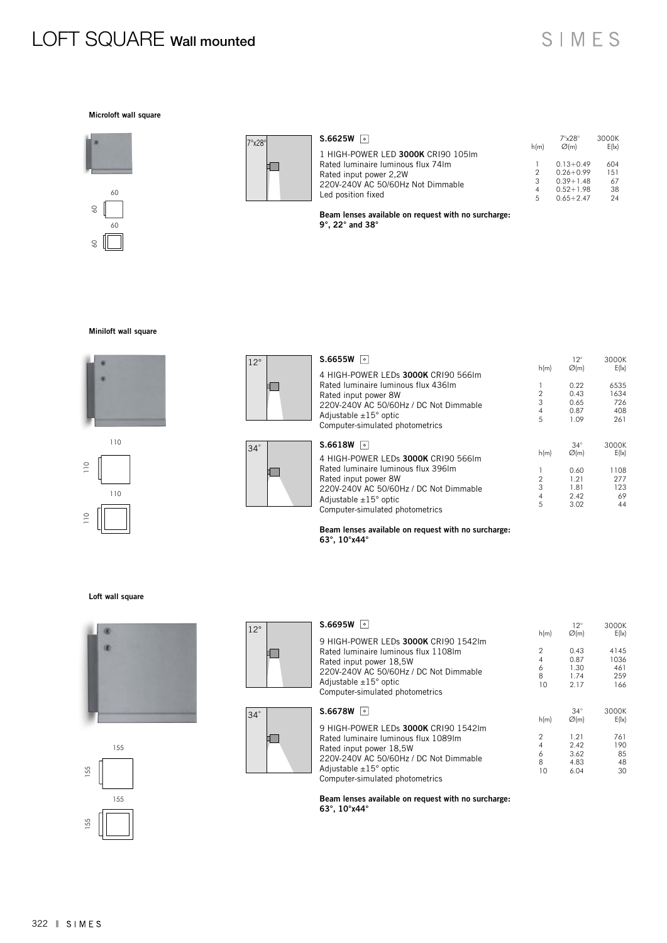# LOFT SQUARE Wall mounted

## SIMES

12° 3000K

### Microloft wall square





| 1 HIGH-POWER LED 3000K CRI90 105lm<br>Rated Iuminaire Iuminous flux 74Im<br>$0.13 + 0.49$<br>$0.26 + 0.99$<br>2<br>Rated input power 2,2W<br>$0.39 + 1.48$<br>3<br>220V-240V AC 50/60Hz Not Dimmable<br>$0.52 + 1.98$<br>4 | S.6625W<br>$\circ$ |      | $7^{\circ}$ $28^{\circ}$ | 3000K |
|----------------------------------------------------------------------------------------------------------------------------------------------------------------------------------------------------------------------------|--------------------|------|--------------------------|-------|
|                                                                                                                                                                                                                            |                    | h(m) | $\varnothing$ (m)        | E( x) |
|                                                                                                                                                                                                                            |                    |      |                          | 604   |
|                                                                                                                                                                                                                            |                    |      |                          | 151   |
|                                                                                                                                                                                                                            |                    |      |                          | 67    |
|                                                                                                                                                                                                                            |                    |      |                          | 38    |
| $0.65 + 2.47$<br>5                                                                                                                                                                                                         | Led position fixed |      |                          | 24    |

Beam lenses available on request with no surcharge: 9°, 22° and 38°

### Miniloft wall square



110







| S.6655W<br>$\bullet$                   |                     | $12^{\circ}$     | 3000K    |
|----------------------------------------|---------------------|------------------|----------|
| 4 HIGH-POWER LEDs 3000K CRI90 566Im    | h(m)                | $\varnothing(m)$ | E(1x)    |
| Rated Iuminaire Iuminous flux 436Im    |                     | 0.22             | 6535     |
| Rated input power 8W                   | $\overline{2}$      | 0.43             | 1634     |
| 220V-240V AC 50/60Hz / DC Not Dimmable | 3                   | 0.65             | 726      |
| Adjustable $\pm 15^\circ$ optic        | $\overline{4}$      | 0.87             | 408      |
| Computer-simulated photometrics        | 5                   | 1.09             | 261      |
|                                        |                     |                  |          |
| S.6618W<br>$\circ$                     |                     | $34^\circ$       | 3000K    |
| 4 HIGH-POWER LEDs 3000K CRI90 566Im    | h(m)                | $\varnothing(m)$ | E(1x)    |
| Rated Iuminaire Iuminous flux 396Im    |                     | 0.60             | 1108     |
| Rated input power 8W                   | $\overline{2}$      | 1.21             | 277      |
| 220V-240V AC 50/60Hz / DC Not Dimmable | 3                   | 1.81             | 123      |
| Adjustable $\pm 15^\circ$ optic        | $\overline{4}$<br>5 | 2.42<br>3.02     | 69<br>44 |

Beam lenses available on request with no surcharge: 63°, 10°x44°

#### Loft wall square







S.6695W 0



|                                                                    | h(m)           | $\varnothing$ (m) | E( x ) |
|--------------------------------------------------------------------|----------------|-------------------|--------|
| 9 HIGH-POWER LEDs 3000K CRI90 1542lm                               |                |                   |        |
| Rated Iuminaire Iuminous flux 1108Im                               | $\mathfrak{p}$ | 0.43              | 4145   |
| Rated input power 18,5W                                            | 4              | 0.87              | 1036   |
| 220V-240V AC 50/60Hz / DC Not Dimmable                             | 6              | 1.30              | 461    |
|                                                                    | 8              | 1.74              | 259    |
| Adjustable $\pm 15^\circ$ optic                                    | 10             | 2.17              | 166    |
| Computer-simulated photometrics                                    |                |                   |        |
|                                                                    |                |                   |        |
|                                                                    |                |                   |        |
| S.6678W<br>ا ه ا                                                   |                | $34^\circ$        | 3000K  |
|                                                                    | h(m)           | $\varnothing(m)$  | E( x ) |
| 9 HIGH-POWER LEDs 3000K CRI90 1542lm                               |                |                   |        |
| Rated Iuminaire Iuminous flux 1089Im                               | $\mathfrak{p}$ | 1.21              | 761    |
|                                                                    | 4              | 2.42              | 190    |
| Rated input power 18,5W                                            | 6              | 3.62              | 85     |
| 220V-240V AC 50/60Hz / DC Not Dimmable                             | 8              | 4.83              | 48     |
| Adjustable $\pm 15^\circ$ optic<br>Computer-simulated photometrics | 10             | 6.04              | 30     |

Beam lenses available on request with no surcharge: 63°, 10°x44°